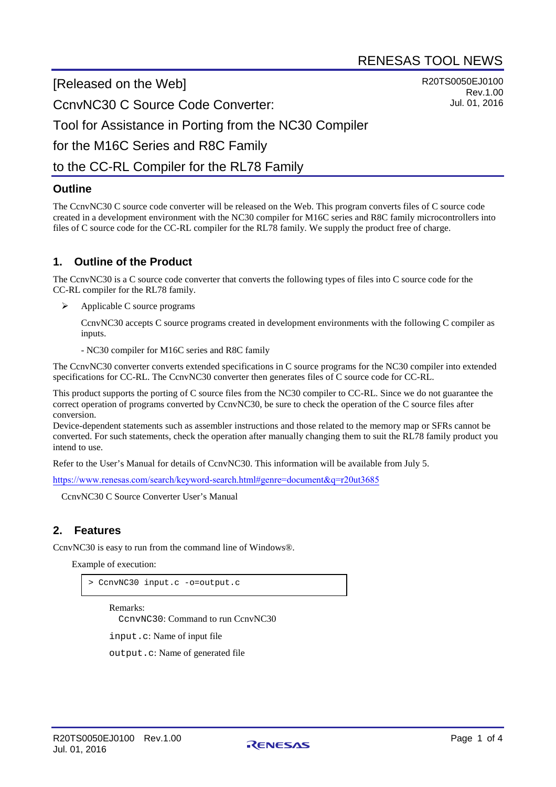R20TS0050EJ0100

Rev.1.00 Jul. 01, 2016

[Released on the Web]

CcnvNC30 C Source Code Converter:

Tool for Assistance in Porting from the NC30 Compiler

for the M16C Series and R8C Family

# to the CC-RL Compiler for the RL78 Family

### **Outline**

The CcnvNC30 C source code converter will be released on the Web. This program converts files of C source code created in a development environment with the NC30 compiler for M16C series and R8C family microcontrollers into files of C source code for the CC-RL compiler for the RL78 family. We supply the product free of charge.

### **1. Outline of the Product**

The CcnvNC30 is a C source code converter that converts the following types of files into C source code for the CC-RL compiler for the RL78 family.

Applicable C source programs

CcnvNC30 accepts C source programs created in development environments with the following C compiler as inputs.

- NC30 compiler for M16C series and R8C family

The CcnvNC30 converter converts extended specifications in C source programs for the NC30 compiler into extended specifications for CC-RL. The CcnvNC30 converter then generates files of C source code for CC-RL.

This product supports the porting of C source files from the NC30 compiler to CC-RL. Since we do not guarantee the correct operation of programs converted by CcnvNC30, be sure to check the operation of the C source files after conversion.

Device-dependent statements such as assembler instructions and those related to the memory map or SFRs cannot be converted. For such statements, check the operation after manually changing them to suit the RL78 family product you intend to use.

Refer to the User's Manual for details of CcnvNC30. This information will be available from July 5.

<https://www.renesas.com/search/keyword-search.html#genre=document&q=r20ut3685>

CcnvNC30 C Source Converter User's Manual

## **2. Features**

CcnvNC30 is easy to run from the command line of Windows®.

Example of execution:

> CcnvNC30 input.c -o=output.c

Remarks:

CcnvNC30: Command to run CcnvNC30

input.c: Name of input file

output.c: Name of generated file

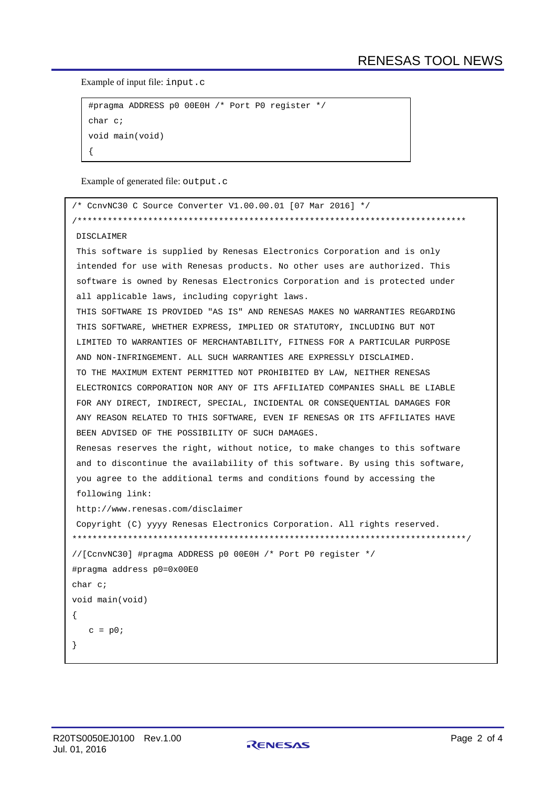Example of input file: input.c

```
#pragma ADDRESS p0 00E0H /* Port P0 register */
char c;
void main(void)
{
```
Example of generated file: output.c

```
/* CcnvNC30 C Source Converter V1.00.00.01 [07 Mar 2016] */
/*****************************************************************************
DISCLAIMER
This software is supplied by Renesas Electronics Corporation and is only
intended for use with Renesas products. No other uses are authorized. This
software is owned by Renesas Electronics Corporation and is protected under
all applicable laws, including copyright laws.
THIS SOFTWARE IS PROVIDED "AS IS" AND RENESAS MAKES NO WARRANTIES REGARDING
THIS SOFTWARE, WHETHER EXPRESS, IMPLIED OR STATUTORY, INCLUDING BUT NOT
LIMITED TO WARRANTIES OF MERCHANTABILITY, FITNESS FOR A PARTICULAR PURPOSE
AND NON-INFRINGEMENT. ALL SUCH WARRANTIES ARE EXPRESSLY DISCLAIMED.
TO THE MAXIMUM EXTENT PERMITTED NOT PROHIBITED BY LAW, NEITHER RENESAS
ELECTRONICS CORPORATION NOR ANY OF ITS AFFILIATED COMPANIES SHALL BE LIABLE
FOR ANY DIRECT, INDIRECT, SPECIAL, INCIDENTAL OR CONSEQUENTIAL DAMAGES FOR
ANY REASON RELATED TO THIS SOFTWARE, EVEN IF RENESAS OR ITS AFFILIATES HAVE
BEEN ADVISED OF THE POSSIBILITY OF SUCH DAMAGES.
Renesas reserves the right, without notice, to make changes to this software
and to discontinue the availability of this software. By using this software,
you agree to the additional terms and conditions found by accessing the
following link:
http://www.renesas.com/disclaimer
Copyright (C) yyyy Renesas Electronics Corporation. All rights reserved.
******************************************************************************/
//[CcnvNC30] #pragma ADDRESS p0 00E0H /* Port P0 register */
#pragma address p0=0x00E0
char c;
void main(void)
\{c = p0;}
```
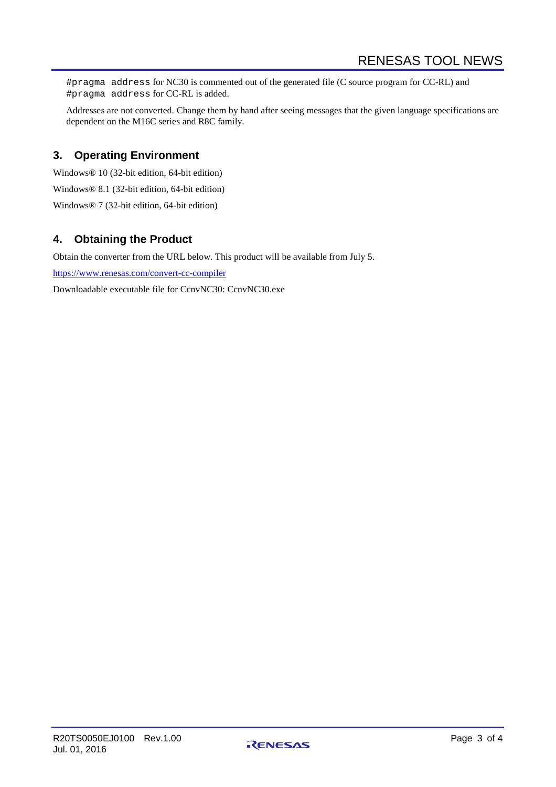#pragma address for NC30 is commented out of the generated file (C source program for CC-RL) and #pragma address for CC-RL is added.

Addresses are not converted. Change them by hand after seeing messages that the given language specifications are dependent on the M16C series and R8C family.

#### **3. Operating Environment**

Windows® 10 (32-bit edition, 64-bit edition) Windows® 8.1 (32-bit edition, 64-bit edition) Windows® 7 (32-bit edition, 64-bit edition)

### **4. Obtaining the Product**

Obtain the converter from the URL below. This product will be available from July 5.

<https://www.renesas.com/convert-cc-compiler>

Downloadable executable file for CcnvNC30: CcnvNC30.exe